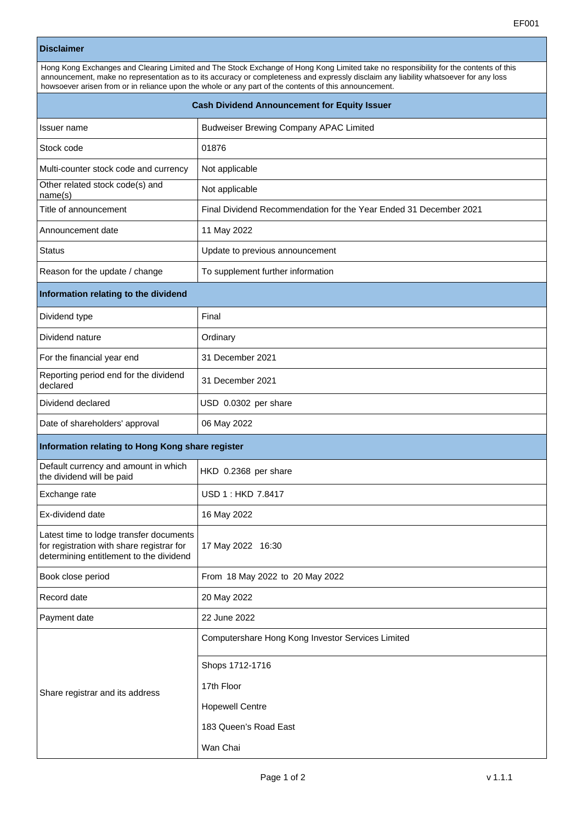## **Disclaimer**

| Hong Kong Exchanges and Clearing Limited and The Stock Exchange of Hong Kong Limited take no responsibility for the contents of this<br>announcement, make no representation as to its accuracy or completeness and expressly disclaim any liability whatsoever for any loss<br>howsoever arisen from or in reliance upon the whole or any part of the contents of this announcement. |                                                                      |  |
|---------------------------------------------------------------------------------------------------------------------------------------------------------------------------------------------------------------------------------------------------------------------------------------------------------------------------------------------------------------------------------------|----------------------------------------------------------------------|--|
| <b>Cash Dividend Announcement for Equity Issuer</b>                                                                                                                                                                                                                                                                                                                                   |                                                                      |  |
| Issuer name                                                                                                                                                                                                                                                                                                                                                                           | <b>Budweiser Brewing Company APAC Limited</b>                        |  |
| Stock code                                                                                                                                                                                                                                                                                                                                                                            | 01876                                                                |  |
| Multi-counter stock code and currency                                                                                                                                                                                                                                                                                                                                                 | Not applicable                                                       |  |
| Other related stock code(s) and<br>name(s)                                                                                                                                                                                                                                                                                                                                            | Not applicable                                                       |  |
| Title of announcement                                                                                                                                                                                                                                                                                                                                                                 | Final Dividend Recommendation for the Year Ended 31 December 2021    |  |
| Announcement date                                                                                                                                                                                                                                                                                                                                                                     | 11 May 2022                                                          |  |
| <b>Status</b>                                                                                                                                                                                                                                                                                                                                                                         | Update to previous announcement                                      |  |
| Reason for the update / change                                                                                                                                                                                                                                                                                                                                                        | To supplement further information                                    |  |
| Information relating to the dividend                                                                                                                                                                                                                                                                                                                                                  |                                                                      |  |
| Dividend type                                                                                                                                                                                                                                                                                                                                                                         | Final                                                                |  |
| Dividend nature                                                                                                                                                                                                                                                                                                                                                                       | Ordinary                                                             |  |
| For the financial year end                                                                                                                                                                                                                                                                                                                                                            | 31 December 2021                                                     |  |
| Reporting period end for the dividend<br>declared                                                                                                                                                                                                                                                                                                                                     | 31 December 2021                                                     |  |
| Dividend declared                                                                                                                                                                                                                                                                                                                                                                     | USD 0.0302 per share                                                 |  |
| Date of shareholders' approval                                                                                                                                                                                                                                                                                                                                                        | 06 May 2022                                                          |  |
| Information relating to Hong Kong share register                                                                                                                                                                                                                                                                                                                                      |                                                                      |  |
| Default currency and amount in which<br>the dividend will be paid                                                                                                                                                                                                                                                                                                                     | HKD 0.2368 per share                                                 |  |
| Exchange rate                                                                                                                                                                                                                                                                                                                                                                         | USD 1 : HKD 7.8417                                                   |  |
| Ex-dividend date                                                                                                                                                                                                                                                                                                                                                                      | 16 May 2022                                                          |  |
| Latest time to lodge transfer documents<br>for registration with share registrar for<br>determining entitlement to the dividend                                                                                                                                                                                                                                                       | 17 May 2022 16:30                                                    |  |
| Book close period                                                                                                                                                                                                                                                                                                                                                                     | From 18 May 2022 to 20 May 2022                                      |  |
| Record date                                                                                                                                                                                                                                                                                                                                                                           | 20 May 2022                                                          |  |
| Payment date                                                                                                                                                                                                                                                                                                                                                                          | 22 June 2022                                                         |  |
| Share registrar and its address                                                                                                                                                                                                                                                                                                                                                       | Computershare Hong Kong Investor Services Limited<br>Shops 1712-1716 |  |
|                                                                                                                                                                                                                                                                                                                                                                                       | 17th Floor                                                           |  |
|                                                                                                                                                                                                                                                                                                                                                                                       | <b>Hopewell Centre</b>                                               |  |
|                                                                                                                                                                                                                                                                                                                                                                                       | 183 Queen's Road East                                                |  |
|                                                                                                                                                                                                                                                                                                                                                                                       | Wan Chai                                                             |  |